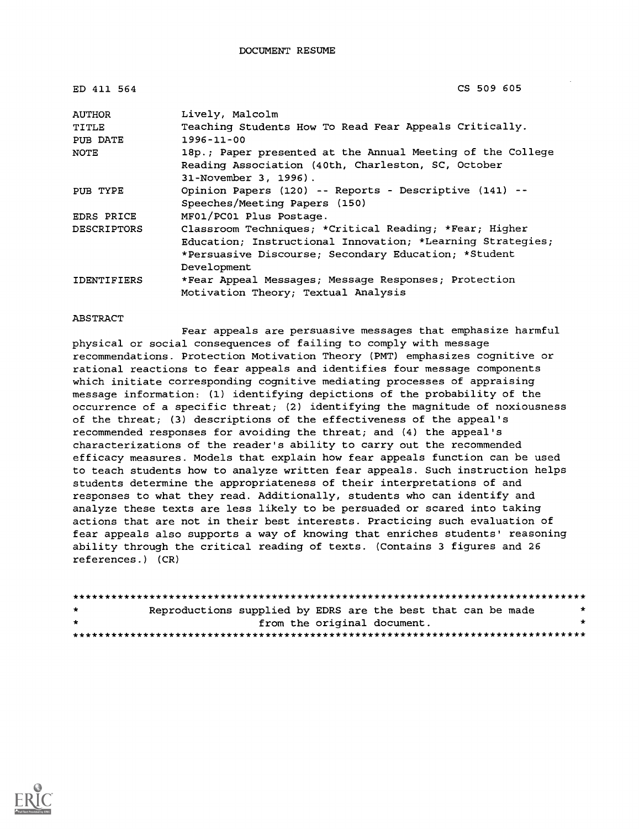| ED 411 564         | CS 509 605                                                 |
|--------------------|------------------------------------------------------------|
| AUTHOR             | Lively, Malcolm                                            |
| TITLE              | Teaching Students How To Read Fear Appeals Critically.     |
| PUB DATE           | $1996 - 11 - 00$                                           |
| NOTE               | 18p.; Paper presented at the Annual Meeting of the College |
|                    | Reading Association (40th, Charleston, SC, October         |
|                    | 31-November 3, 1996).                                      |
| PUB TYPE           | Opinion Papers (120) -- Reports - Descriptive (141) --     |
|                    | Speeches/Meeting Papers (150)                              |
| EDRS PRICE         | MF01/PC01 Plus Postage.                                    |
| <b>DESCRIPTORS</b> | Classroom Techniques; *Critical Reading; *Fear; Higher     |
|                    | Education; Instructional Innovation; *Learning Strategies; |
|                    | *Persuasive Discourse; Secondary Education; *Student       |
|                    | Development                                                |
| <b>IDENTIFIERS</b> | *Fear Appeal Messages; Message Responses; Protection       |
|                    | Motivation Theory; Textual Analysis                        |

#### ABSTRACT

Fear appeals are persuasive messages that emphasize harmful physical or social consequences of failing to comply with message recommendations. Protection Motivation Theory (PMT) emphasizes cognitive or rational reactions to fear appeals and identifies four message components which initiate corresponding cognitive mediating processes of appraising message information: (1) identifying depictions of the probability of the occurrence of a specific threat; (2) identifying the magnitude of noxiousness of the threat; (3) descriptions of the effectiveness of the appeal's recommended responses for avoiding the threat; and (4) the appeal's characterizations of the reader's ability to carry out the recommended efficacy measures. Models that explain how fear appeals function can be used to teach students how to analyze written fear appeals. Such instruction helps students determine the appropriateness of their interpretations of and responses to what they read. Additionally, students who can identify and analyze these texts are less likely to be persuaded or scared into taking actions that are not in their best interests. Practicing such evaluation of fear appeals also supports a way of knowing that enriches students' reasoning ability through the critical reading of texts. (Contains 3 figures and 26 references.) (CR)

| $\star$ | Reproductions supplied by EDRS are the best that can be made | $\star$ |  |  |
|---------|--------------------------------------------------------------|---------|--|--|
| $\star$ | from the original document.                                  |         |  |  |
|         |                                                              |         |  |  |

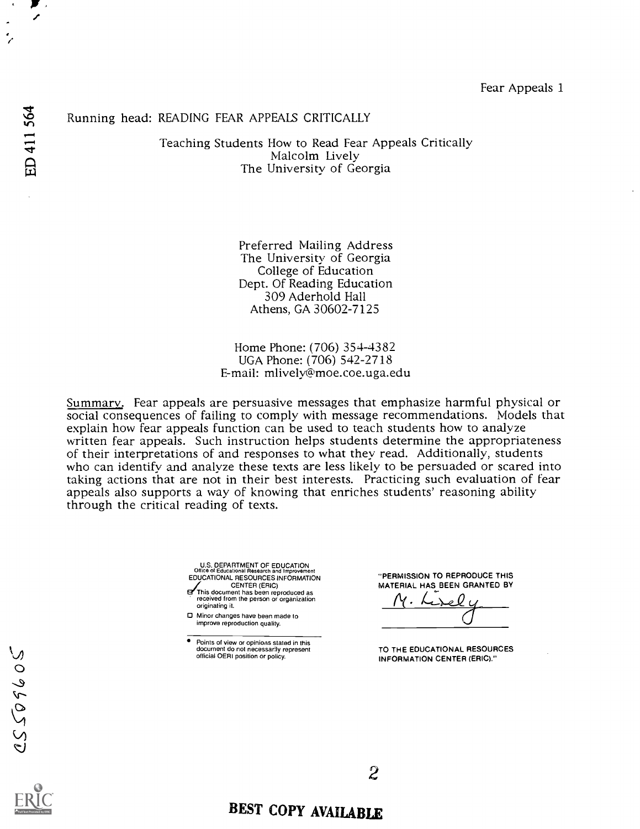#### Running head: READING FEAR APPEALS CRITICALLY

Teaching Students How to Read Fear Appeals Critically Malcolm Lively The University of Georgia

> Preferred Mailing Address The University of Georgia College of Education Dept. Of Reading Education 309 Aderhold Hall Athens, GA 30602-7125

Home Phone: (706) 354-4382 UGA Phone: (706) 542-2718 E-mail: mlively@moe.coe.uga.edu

Summary. Fear appeals are persuasive messages that emphasize harmful physical or social consequences of failing to comply with message recommendations. Models that explain how fear appeals function can be used to teach stu who can identify and analyze these texts are less likely to be persuaded or scared into taking actions that are not in their best interests. Practicing such evaluation of fear appeals also supports a way of knowing that enriches students' reasoning ability through the critical reading of texts.

> U.S. DEPARTMENT OF EDUCATION Office of Educational Research and Improvement EDUCATIONAL RESOURCES INFORMATION CENTER (ERIC) **Extra document has been reproduced as**

received from the person or organization originating it.

0 Minor changes have been made to improve reproduction quality.

Points of view or opinions stated in this document do not necessarily represent official OERI position or policy. "PERMISSION TO REPRODUCE THIS MATERIAL HAS BEEN GRANTED BY

<u> 19. مد</u>

TO THE EDUCATIONAL RESOURCES INFORMATION CENTER (ERIC)."

# BEST COPY AVAILABLE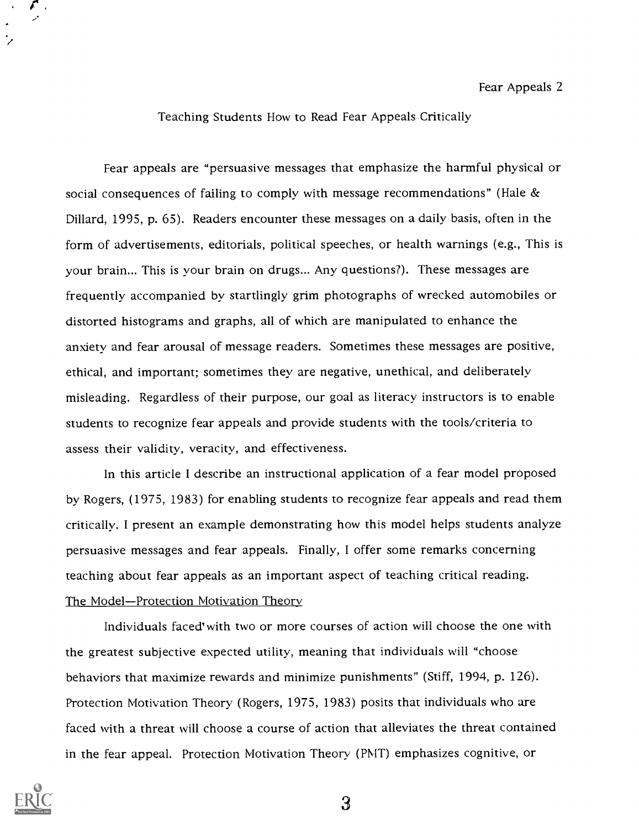#### Teaching Students How to Read Fear Appeals Critically

Fear appeals are "persuasive messages that emphasize the harmful physical or social consequences of failing to comply with message recommendations" (Hale & Dillard, 1995, p. 65). Readers encounter these messages on a daily basis, often in the form of advertisements, editorials, political speeches, or health warnings (e.g., This is your brain... This is your brain on drugs... Any questions?). These messages are frequently accompanied by startlingly grim photographs of wrecked automobiles or distorted histograms and graphs, all of which are manipulated to enhance the anxiety and fear arousal of message readers. Sometimes these messages are positive, ethical, and important; sometimes they are negative, unethical, and deliberately misleading. Regardless of their purpose, our goal as literacy instructors is to enable students to recognize fear appeals and provide students with the tools/criteria to assess their validity, veracity, and effectiveness.

In this article I describe an instructional application of a fear model proposed by Rogers, (1975, 1983) for enabling students to recognize fear appeals and read them critically. I present an example demonstrating how this model helps students analyze persuasive messages and fear appeals. Finally, I offer some remarks concerning teaching about fear appeals as an important aspect of teaching critical reading. The Model-Protection Motivation Theory

Individuals faced' with two or more courses of action will choose the one with the greatest subjective expected utility, meaning that individuals will "choose behaviors that maximize rewards and minimize punishments" (Stiff, 1994, p. 126). Protection Motivation Theory (Rogers, 1975, 1983) posits that individuals who are faced with a threat will choose a course of action that alleviates the threat contained in the fear appeal. Protection Motivation Theory (PMT) emphasizes cognitive, or

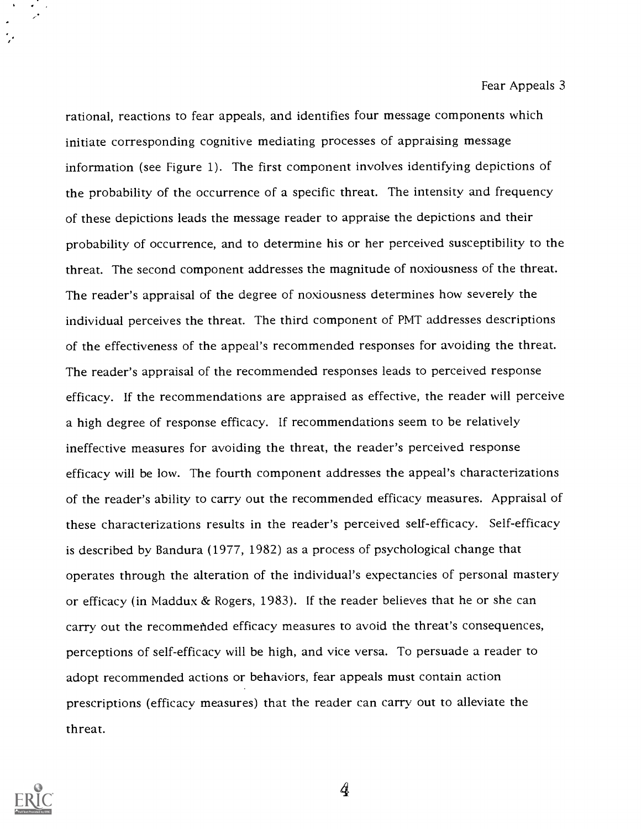rational, reactions to fear appeals, and identifies four message components which initiate corresponding cognitive mediating processes of appraising message information (see Figure 1). The first component involves identifying depictions of the probability of the occurrence of a specific threat. The intensity and frequency of these depictions leads the message reader to appraise the depictions and their probability of occurrence, and to determine his or her perceived susceptibility to the threat. The second component addresses the magnitude of noxiousness of the threat. The reader's appraisal of the degree of noxiousness determines how severely the individual perceives the threat. The third component of PMT addresses descriptions of the effectiveness of the appeal's recommended responses for avoiding the threat. The reader's appraisal of the recommended responses leads to perceived response efficacy. If the recommendations are appraised as effective, the reader will perceive a high degree of response efficacy. If recommendations seem to be relatively ineffective measures for avoiding the threat, the reader's perceived response efficacy will be low. The fourth component addresses the appeal's characterizations of the reader's ability to carry out the recommended efficacy measures. Appraisal of these characterizations results in the reader's perceived self-efficacy. Self-efficacy is described by Bandura (1977, 1982) as a process of psychological change that operates through the alteration of the individual's expectancies of personal mastery or efficacy (in Maddux & Rogers, 1983). If the reader believes that he or she can carry out the recommended efficacy measures to avoid the threat's consequences, perceptions of self-efficacy will be high, and vice versa. To persuade a reader to adopt recommended actions or behaviors, fear appeals must contain action prescriptions (efficacy measures) that the reader can carry out to alleviate the threat.

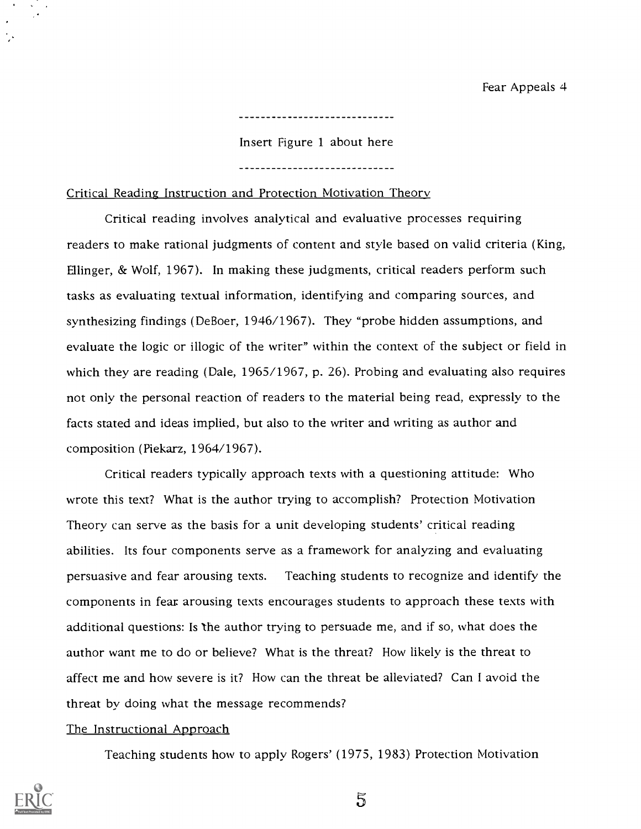Insert Figure 1 about here

#### Critical Reading Instruction and Protection Motivation Theory

Critical reading involves analytical and evaluative processes requiring readers to make rational judgments of content and style based on valid criteria (King, Ellinger, & Wolf, 1967). In making these judgments, critical readers perform such tasks as evaluating textual information, identifying and comparing sources, and synthesizing findings (DeBoer, 1946/1967). They "probe hidden assumptions, and evaluate the logic or illogic of the writer" within the context of the subject or field in which they are reading (Dale, 1965/1967, p. 26). Probing and evaluating also requires not only the personal reaction of readers to the material being read, expressly to the facts stated and ideas implied, but also to the writer and writing as author and composition (Piekarz, 1964/1967).

Critical readers typically approach texts with a questioning attitude: Who wrote this text? What is the author trying to accomplish? Protection Motivation Theory can serve as the basis for a unit developing students' critical reading abilities. Its four components serve as a framework for analyzing and evaluating persuasive and fear arousing texts. Teaching students to recognize and identify the components in fear: arousing texts encourages students to approach these texts with additional questions: Is the author trying to persuade me, and if so, what does the author want me to do or believe? What is the threat? How likely is the threat to affect me and how severe is it? How can the threat be alleviated? Can I avoid the threat by doing what the message recommends?

#### The Instructional Approach

Teaching students how to apply Rogers' (1975, 1983) Protection Motivation



 $\overline{5}$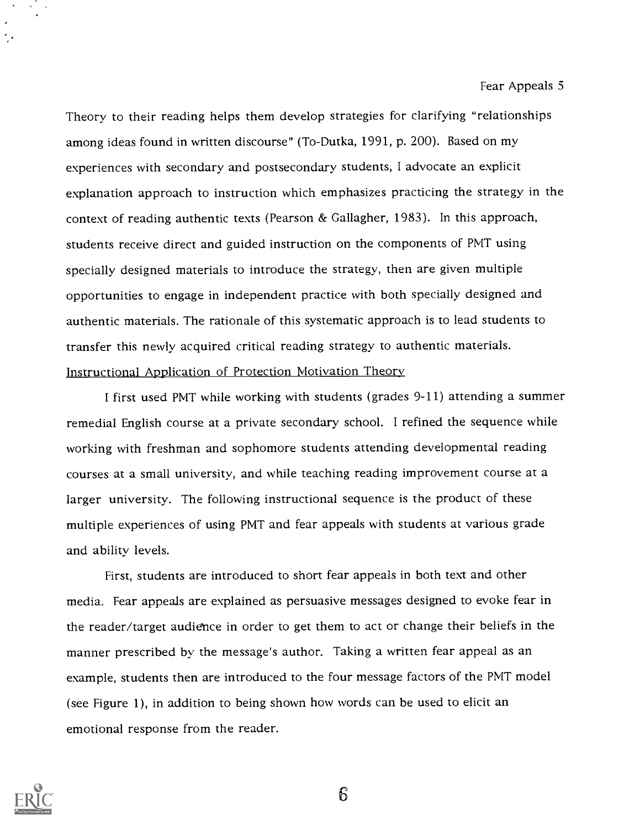Theory to their reading helps them develop strategies for clarifying "relationships among ideas found in written discourse" (To-Dutka, 1991, p. 200). Based on my experiences with secondary and postsecondary students, I advocate an explicit explanation approach to instruction which emphasizes practicing the strategy in the context of reading authentic texts (Pearson & Gallagher, 1983). In this approach, students receive direct and guided instruction on the components of PMT using specially designed materials to introduce the strategy, then are given multiple opportunities to engage in independent practice with both specially designed and authentic materials. The rationale of this systematic approach is to lead students to transfer this newly acquired critical reading strategy to authentic materials. Instructional Application of Protection Motivation Theory

I first used PMT while working with students (grades 9-11) attending a summer remedial English course at a private secondary school. I refined the sequence while working with freshman and sophomore students attending developmental reading courses at a small university, and while teaching reading improvement course at a larger university. The following instructional sequence is the product of these multiple experiences of using PMT and fear appeals with students at various grade and ability levels.

First, students are introduced to short fear appeals in both text and other media. Fear appeals are explained as persuasive messages designed to evoke fear in the reader/target audience in order to get them to act or change their beliefs in the manner prescribed by the message's author. Taking a written fear appeal as an example, students then are introduced to the four message factors of the PMT model (see Figure 1), in addition to being shown how words can be used to elicit an emotional response from the reader.



 $6\overline{6}$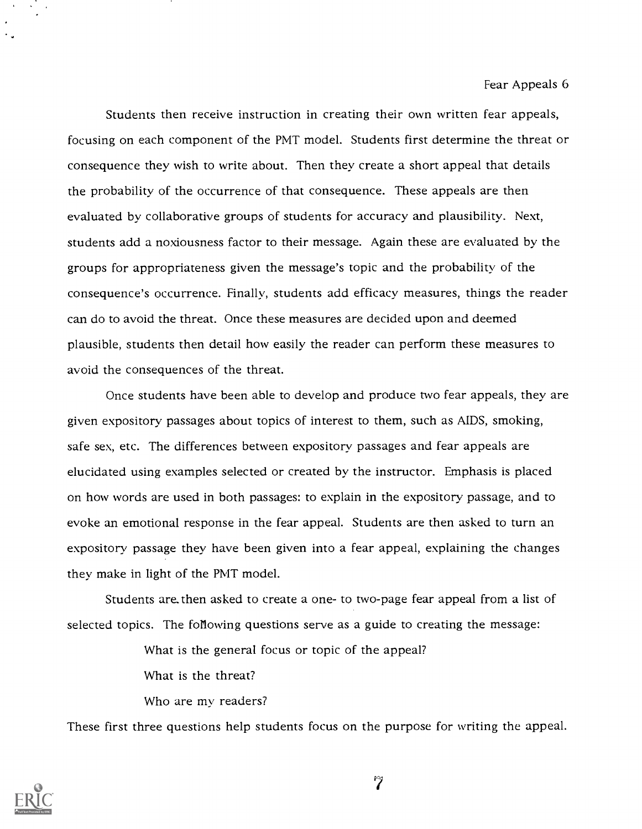Students then receive instruction in creating their own written fear appeals, focusing on each component of the PMT model. Students first determine the threat or consequence they wish to write about. Then they create a short appeal that details the probability of the occurrence of that consequence. These appeals are then evaluated by collaborative groups of students for accuracy and plausibility. Next, students add a noxiousness factor to their message. Again these are evaluated by the groups for appropriateness given the message's topic and the probability of the consequence's occurrence. Finally, students add efficacy measures, things the reader can do to avoid the threat. Once these measures are decided upon and deemed plausible, students then detail how easily the reader can perform these measures to avoid the consequences of the threat.

Once students have been able to develop and produce nvo fear appeals, they are given expository passages about topics of interest to them, such as AIDS, smoking, safe sex, etc. The differences between expository passages and fear appeals are elucidated using examples selected or created by the instructor. Emphasis is placed on how words are used in both passages: to explain in the expository passage, and to evoke an emotional response in the fear appeal. Students are then asked to turn an expository passage they have been given into a fear appeal, explaining the changes they make in light of the PMT model.

Students are. then asked to create a one- to two-page fear appeal from a list of selected topics. The following questions serve as a guide to creating the message:

What is the general focus or topic of the appeal?

What is the threat?

Who are my readers?

These first three questions help students focus on the purpose for writing the appeal.

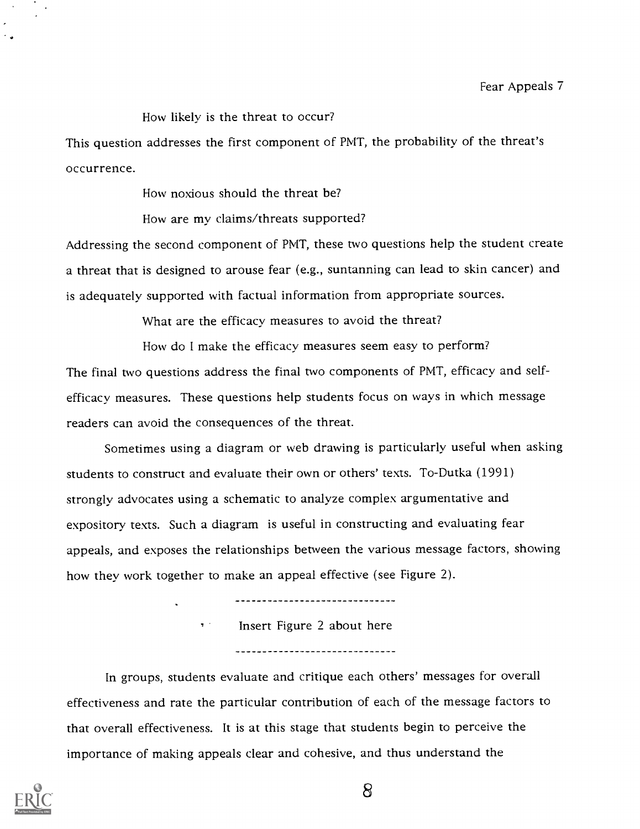#### How likely is the threat to occur?

This question addresses the first component of PMT, the probability of the threat's occurrence.

How noxious should the threat be?

How are my claims/threats supported?

Addressing the second component of PMT, these two questions help the student create a threat that is designed to arouse fear (e.g., suntanning can lead to skin cancer) and is adequately supported with factual information from appropriate sources.

What are the efficacy measures to avoid the threat?

How do I make the efficacy measures seem easy to perform? The final two questions address the final two components of PMT, efficacy and selfefficacy measures. These questions help students focus on ways in which message readers can avoid the consequences of the threat.

Sometimes using a diagram or web drawing is particularly useful when asking students to construct and evaluate their own or others' texts. To-Dutka (1991) strongly advocates using a schematic to analyze complex argumentative and expository texts. Such a diagram is useful in constructing and evaluating fear appeals, and exposes the relationships between the various message factors, showing how they work together to make an appeal effective (see Figure 2).

Insert Figure 2 about here -------**-------**------------------

In groups, students evaluate and critique each others' messages for overall effectiveness and rate the particular contribution of each of the message factors to that overall effectiveness. It is at this stage that students begin to perceive the importance of making appeals clear and cohesive, and thus understand the

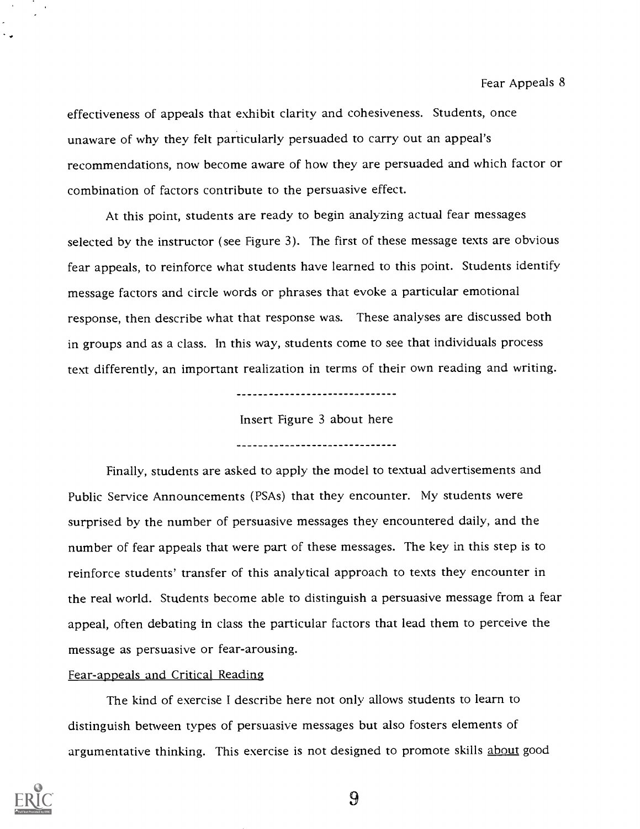effectiveness of appeals that exhibit clarity and cohesiveness. Students, once unaware of why they felt particularly persuaded to carry out an appeal's recommendations, now become aware of how they are persuaded and which factor or combination of factors contribute to the persuasive effect.

At this point, students are ready to begin analyzing actual fear messages selected by the instructor (see Figure 3). The first of these message texts are obvious fear appeals, to reinforce what students have learned to this point. Students identify message factors and circle words or phrases that evoke a particular emotional response, then describe what that response was. These analyses are discussed both in groups and as a class. In this way, students come to see that individuals process text differently, an important realization in terms of their own reading and writing.

-------------------------------

Insert Figure 3 about here -------------------------------

Finally, students are asked to apply the model to textual advertisements and Public Service Announcements (PSAs) that they encounter. My students were surprised by the number of persuasive messages they encountered daily, and the number of fear appeals that were part of these messages. The key in this step is to reinforce students' transfer of this analytical approach to texts they encounter in the real world. Students become able to distinguish a persuasive message from a fear appeal, often debating in class the particular factors that lead them to perceive the message as persuasive or fear-arousing.

#### Fear-appeals and Critical Reading

The kind of exercise I describe here not only allows students to learn to distinguish between types of persuasive messages but also fosters elements of argumentative thinking. This exercise is not designed to promote skills about good

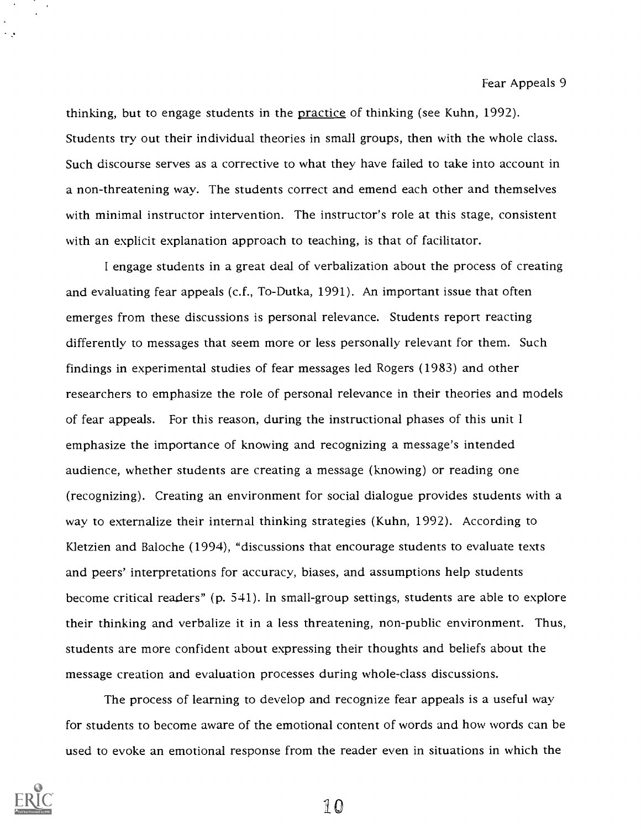thinking, but to engage students in the practice of thinking (see Kuhn, 1992). Students try out their individual theories in small groups, then with the whole class. Such discourse serves as a corrective to what they have failed to take into account in a non-threatening way. The students correct and emend each other and themselves with minimal instructor intervention. The instructor's role at this stage, consistent with an explicit explanation approach to teaching, is that of facilitator.

I engage students in a great deal of verbalization about the process of creating and evaluating fear appeals (c.f., To-Dutka, 1991). An important issue that often emerges from these discussions is personal relevance. Students report reacting differently to messages that seem more or less personally relevant for them. Such findings in experimental studies of fear messages led Rogers (1983) and other researchers to emphasize the role of personal relevance in their theories and models of fear appeals. For this reason, during the instructional phases of this unit I emphasize the importance of knowing and recognizing a message's intended audience, whether students are creating a message (knowing) or reading one (recognizing). Creating an environment for social dialogue provides students with a way to externalize their internal thinking strategies (Kuhn, 1992). According to Kletzien and Baloche (1994), "discussions that encourage students to evaluate texts and peers' interpretations for accuracy, biases, and assumptions help students become critical readers" (p. 541). In small-group settings, students are able to explore their thinking and verbalize it in a less threatening, non-public environment. Thus, students are more confident about expressing their thoughts and beliefs about the message creation and evaluation processes during whole-class discussions.

The process of learning to develop and recognize fear appeals is a useful way for students to become aware of the emotional content of words and how words can be used to evoke an emotional response from the reader even in situations in which the



 $\sim$   $\sqrt{s}$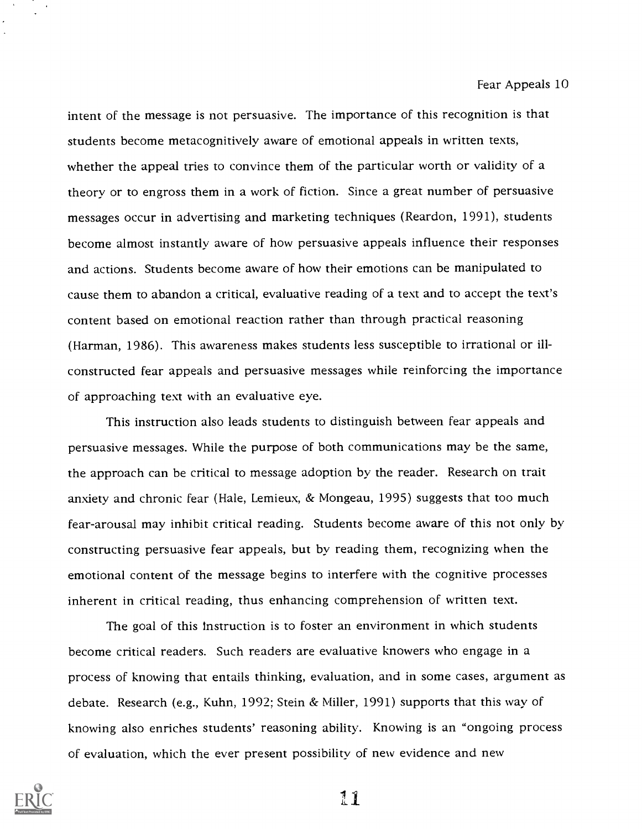intent of the message is not persuasive. The importance of this recognition is that students become metacognitively aware of emotional appeals in written texts, whether the appeal tries to convince them of the particular worth or validity of a theory or to engross them in a work of fiction. Since a great number of persuasive messages occur in advertising and marketing techniques (Reardon, 1991), students become almost instantly aware of how persuasive appeals influence their responses and actions. Students become aware of how their emotions can be manipulated to cause them to abandon a critical, evaluative reading of a text and to accept the text's content based on emotional reaction rather than through practical reasoning (Harman, 1986). This awareness makes students less susceptible to irrational or illconstructed fear appeals and persuasive messages while reinforcing the importance of approaching text with an evaluative eye.

This instruction also leads students to distinguish between fear appeals and persuasive messages. While the purpose of both communications may be the same, the approach can be critical to message adoption by the reader. Research on trait anxiety and chronic fear (Hale, Lemieux, & Mongeau, 1995) suggests that too much fear-arousal may inhibit critical reading. Students become aware of this not only by constructing persuasive fear appeals, but by reading them, recognizing when the emotional content of the message begins to interfere with the cognitive processes inherent in critical reading, thus enhancing comprehension of written text.

The goal of this Instruction is to foster an environment in which students become critical readers. Such readers are evaluative knowers who engage in a process of knowing that entails thinking, evaluation, and in some cases, argument as debate. Research (e.g., Kuhn, 1992; Stein & Miller, 1991) supports that this way of knowing also enriches students' reasoning ability. Knowing is an "ongoing process of evaluation, which the ever present possibility of new evidence and new

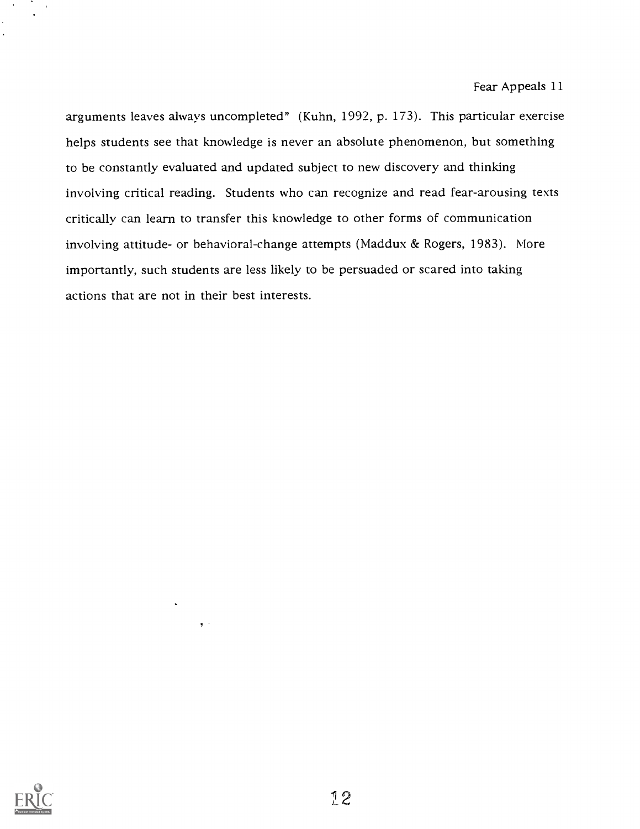arguments leaves always uncompleted" (Kuhn, 1992, p. 173). This particular exercise helps students see that knowledge is never an absolute phenomenon, but something to be constantly evaluated and updated subject to new discovery and thinking involving critical reading. Students who can recognize and read fear-arousing texts critically can learn to transfer this knowledge to other forms of communication involving attitude- or behavioral-change attempts (Maddux & Rogers, 1983). More importantly, such students are less likely to be persuaded or scared into taking actions that are not in their best interests.



 $\ddot{\phantom{1}}$ 

 $\pmb{\gamma}$  .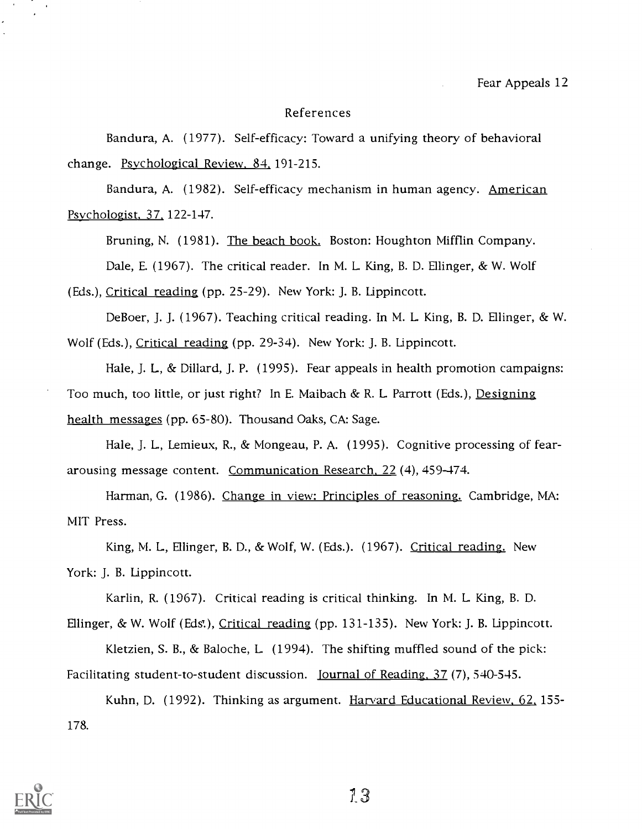#### References

Bandura, A. (1977). Self-efficacy: Toward a unifying theory of behavioral change. Psychological Review. 84, 191-215.

Bandura, A. (1982). Self-efficacy mechanism in human agency. American Psychologist. 37. 122-147.

Bruning, N. (1981). The beach book. Boston: Houghton Mifflin Company. Dale, E. (1967). The critical reader. In M. L King, B. D. Ellinger, & W. Wolf

(Eds.), Critical reading (pp. 25-29). New York: J. B. Lippincott.

DeBoer, J. J. (1967). Teaching critical reading. In M. L King, B. D. Ellinger, & W. Wolf (Eds.), Critical reading (pp. 29-34). New York: J. B. Lippincott.

Hale, J. L, & Dillard, J. P. (1995). Fear appeals in health promotion campaigns: Too much, too little, or just right? In E. Maibach & R. L. Parrott (Eds.), Designing health messages (pp. 65-80). Thousand Oaks, CA: Sage.

Hale, J. L., Lemieux, R., & Mongeau, P. A. (1995). Cognitive processing of feararousing message content. Communication Research, 22 (4), 459-474.

Harman, G. (1986). Change in view: Principles of reasoning. Cambridge, MA: MIT Press.

King, NI. L, Ellinger, B. D., & Wolf, W. (Eds.). (1967). Critical reading. New York: J. B. Lippincott.

Karlin, R. (1967). Critical reading is critical thinking. In M. L. King, B. D. Ellinger, & W. Wolf (Eds.), Critical reading (pp. 131-135). New York: J. B. Lippincott.

Kletzien, S. B., & Baloche, L (1994). The shifting muffled sound of the pick: Facilitating student-to-student discussion. Journal of Reading. 37 (7), 540-545.

Kuhn, D. (1992). Thinking as argument. Harvard Educational Review, 62, 155-178.

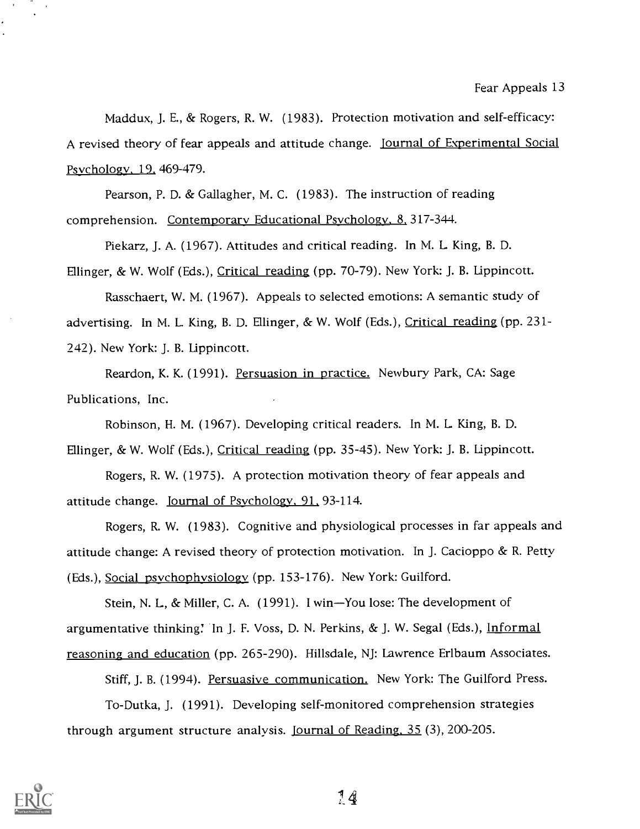Maddux, J. E., & Rogers, R. W. (1983). Protection motivation and self-efficacy: A revised theory of fear appeals and attitude change. Journal of Experimental Social Psychology, 19, 469-479.

Pearson, P. D. & Gallagher, M. C. (1983). The instruction of reading comprehension. Contemporary Educational Psychology. 8. 317 -344.

Piekarz, J. A. (1967). Attitudes and critical reading. In M. L. King, B. D. Ellinger, & W. Wolf (Eds.), Critical reading (pp. 70-79). New York: J. B. Lippincott.

Rasschaert, W. M. (1967). Appeals to selected emotions: A semantic study of advertising. In M. L. King, B. D. Ellinger, & W. Wolf (Eds.), Critical reading (pp. 231-242). New York: J. B. Lippincott.

Reardon, K. K. (1991). Persuasion in practice. Newbury Park, CA: Sage Publications, Inc.

Robinson, H. M. (1967). Developing critical readers. In M. L. King, B. D. Ellinger, & W. Wolf (Eds.), Critical reading (pp. 35-45). New York: J. B. Lippincott.

Rogers, R. W. (1975). A protection motivation theory of fear appeals and attitude change. Journal of Psychology. 91. 93-114.

Rogers, R. W. (1983). Cognitive and physiological processes in far appeals and attitude change: A revised theory of protection motivation. In J. Cacioppo & R. Petty (Eds.), Social psychophysiology (pp. 153-176). New York: Guilford.

Stein, N. L., & Miller, C. A. (1991). I win-You lose: The development of argumentative thinking: In J. F. Voss, D. N. Perkins, & J. W. Segal (Eds.), Informal reasoning and education (pp. 265-290). Hillsdale, NJ: Lawrence Erlbaum Associates.

Stiff, J. B. (1994). Persuasive communication. New York: The Guilford Press. To-Dutka, J. (1991). Developing self-monitored comprehension strategies through argument structure analysis. Journal of Reading,  $35(3)$ , 200-205.

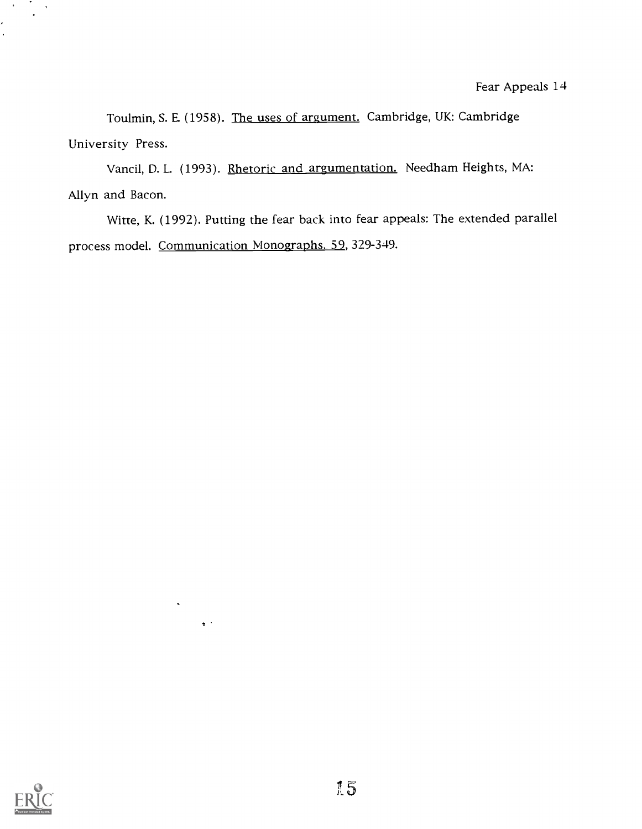Toulmin, S. E (1958). The uses of argument. Cambridge, UK: Cambridge University Press.

Vancil, D. L. (1993). Rhetoric and argumentation. Needham Heights, MA: Allyn and Bacon.

Witte, K. (1992). Putting the fear back into fear appeals: The extended parallel process model. Communication Monographs. 59, 329-349.



 $\mathcal{F}^{\text{max}}_{\text{max}}$ 

 $\hat{\mathbf{y}}^{(i)}$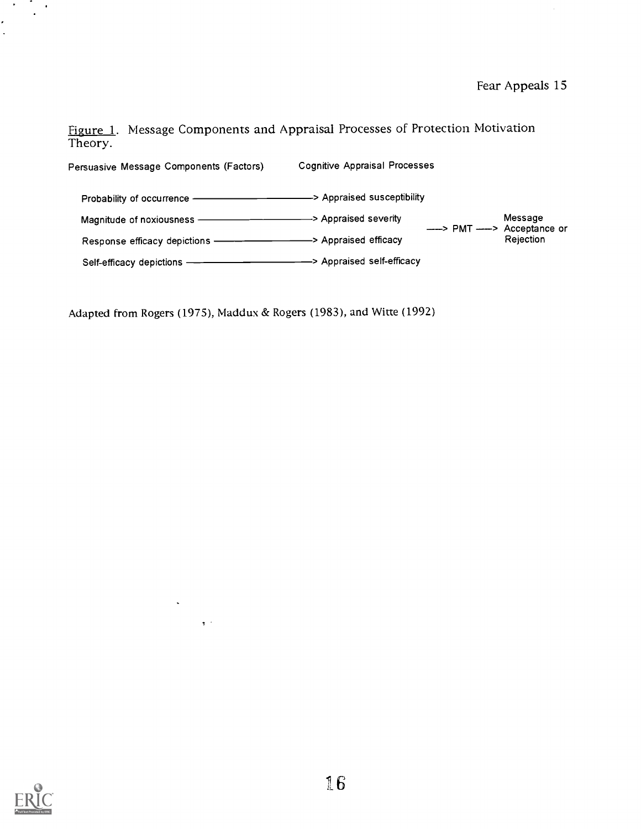Figure 1. Message Components and Appraisal Processes of Protection Motivation Theory.

| Persuasive Message Components (Factors)                                            | <b>Cognitive Appraisal Processes</b> |                               |           |  |
|------------------------------------------------------------------------------------|--------------------------------------|-------------------------------|-----------|--|
| Probability of occurrence —————————————> Appraised susceptibility                  |                                      |                               |           |  |
|                                                                                    |                                      | ----> PMT ----> Acceptance or | Message   |  |
| Response efficacy depictions ---------------------------------> Appraised efficacy |                                      |                               | Rejection |  |
|                                                                                    |                                      |                               |           |  |

Adapted from Rogers (1975), Maddux & Rogers (1983), and Witte (1992)

 $\ddot{\phantom{a}}$ 

 $\frac{1}{3}$  .



 $\mathcal{L} = \frac{1}{2} \mathcal{L}$ 

 $\frac{1}{2}$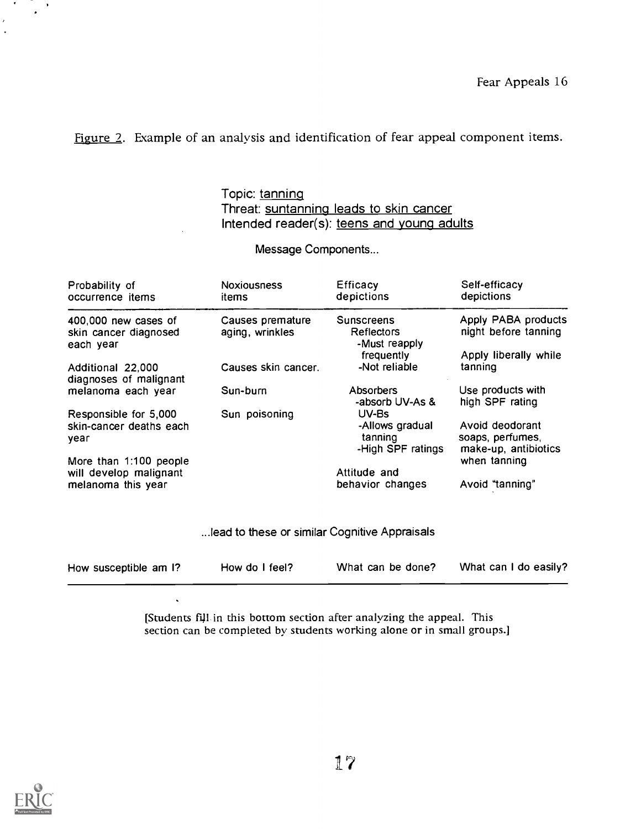#### Figure 2. Example of an analysis and identification of fear appeal component items.

### Topic: tanning Threat: suntanning leads to skin cancer Intended reader(s): teens and young adults

Message Components...

| Probability of<br>occurrence items                         | <b>Noxiousness</b><br>items                   | Efficacy<br>depictions                                   | Self-efficacy<br>depictions                                 |
|------------------------------------------------------------|-----------------------------------------------|----------------------------------------------------------|-------------------------------------------------------------|
| 400,000 new cases of<br>skin cancer diagnosed<br>each year | Causes premature<br>aging, wrinkles           | <b>Sunscreens</b><br>Reflectors<br>-Must reapply         | Apply PABA products<br>night before tanning                 |
| Additional 22,000<br>diagnoses of malignant                | Causes skin cancer.                           | frequently<br>-Not reliable                              | Apply liberally while<br>tanning                            |
| melanoma each year                                         | Sun-burn                                      | Absorbers<br>-absorb UV-As &                             | Use products with<br>high SPF rating                        |
| Responsible for 5,000<br>skin-cancer deaths each<br>year   | Sun poisoning                                 | UV-Bs<br>-Allows gradual<br>tanning<br>-High SPF ratings | Avoid deodorant<br>soaps, perfumes,<br>make-up, antibiotics |
| More than 1:100 people<br>will develop malignant           |                                               | Attitude and                                             | when tanning                                                |
| melanoma this year                                         |                                               | behavior changes                                         | Avoid "tanning"                                             |
|                                                            | lead to these or similar Cognitive Appraisals |                                                          |                                                             |
|                                                            |                                               |                                                          |                                                             |

| How susceptible am I?<br>How do I feel? | What can be done? | What can I do easily? |  |
|-----------------------------------------|-------------------|-----------------------|--|
|-----------------------------------------|-------------------|-----------------------|--|

 $\hat{\mathbf{v}}$ 

[Students fill in this bottom section after analyzing the appeal. This section can be completed by students working alone or in small groups.]



 $\ddot{\phantom{1}}$  $\mathcal{L}$ 

ï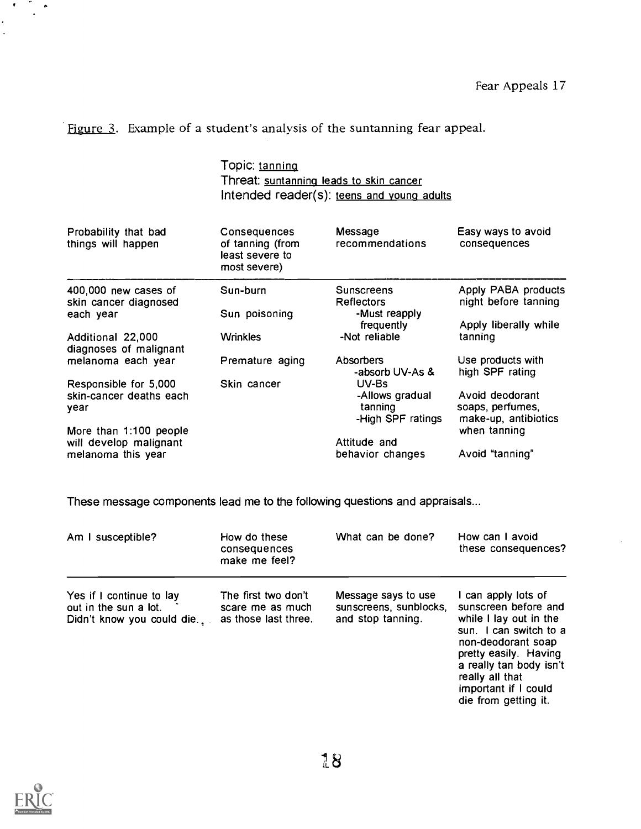Figure 3. Example of a student's analysis of the suntanning fear appeal.

|                                                                        | Topic: <u>tanninq</u><br>Threat: suntanning leads to skin cancer    | Intended reader(s): teens and young adults               |                                                                      |
|------------------------------------------------------------------------|---------------------------------------------------------------------|----------------------------------------------------------|----------------------------------------------------------------------|
| Probability that bad<br>things will happen                             | Consequences<br>of tanning (from<br>least severe to<br>most severe) | Message<br>recommendations                               | Easy ways to avoid<br>consequences                                   |
| 400,000 new cases of<br>skin cancer diagnosed<br>each year             | Sun-burn<br>Sun poisoning                                           | Sunscreens<br>Reflectors<br>-Must reapply                | Apply PABA products<br>night before tanning<br>Apply liberally while |
| Additional 22,000<br>diagnoses of malignant                            | <b>Wrinkles</b>                                                     | frequently<br>-Not reliable                              | tanning                                                              |
| melanoma each year                                                     | Premature aging                                                     | <b>Absorbers</b><br>-absorb UV-As &                      | Use products with<br>high SPF rating                                 |
| Responsible for 5,000<br>skin-cancer deaths each<br>year               | Skin cancer                                                         | UV-Bs<br>-Allows gradual<br>tanning<br>-High SPF ratings | Avoid deodorant<br>soaps, perfumes,<br>make-up, antibiotics          |
| More than 1:100 people<br>will develop malignant<br>melanoma this year |                                                                     | Attitude and<br>behavior changes                         | when tanning<br>Avoid "tanning"                                      |

These message components lead me to the following questions and appraisals...

| Am I susceptible?                                                              | How do these<br>consequences<br>make me feel?                   | What can be done?                                                  | How can I avoid<br>these consequences?                                                                                                                                                                                                       |
|--------------------------------------------------------------------------------|-----------------------------------------------------------------|--------------------------------------------------------------------|----------------------------------------------------------------------------------------------------------------------------------------------------------------------------------------------------------------------------------------------|
| Yes if I continue to lay<br>out in the sun a lot.<br>Didn't know you could die | The first two don't<br>scare me as much<br>as those last three. | Message says to use<br>sunscreens, sunblocks,<br>and stop tanning. | I can apply lots of<br>sunscreen before and<br>while I lay out in the<br>sun. I can switch to a<br>non-deodorant soap<br>pretty easily. Having<br>a really tan body isn't<br>really all that<br>important if I could<br>die from getting it. |



 $\begin{array}{c} \bullet & \circ \\ \bullet & \bullet \end{array}$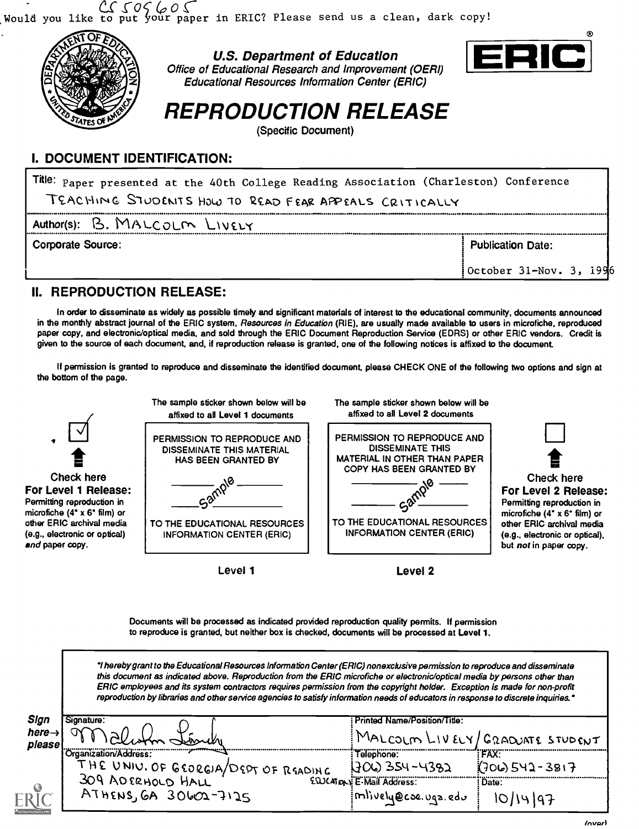Would you like to put your paper in ERIC? Please send us a clean, dark copy!



U.S. Department of Education Office of Educational Research and Improvement (OEM) Educational Resources Information Center (ERIC)



# REPRODUCTION RELEASE

(Specific Document)

## I. DOCUMENT IDENTIFICATION:

| Tile: Paper presented at the 40th College Reading Association (Charleston) Conference |                          |  |  |
|---------------------------------------------------------------------------------------|--------------------------|--|--|
| TEACHING STUDENTS HOW TO READ FEAR APPEALS CRITICALLY                                 |                          |  |  |
| Author(s): B. MALCOLM LIVELY                                                          |                          |  |  |
| <b>Corporate Source:</b>                                                              | <b>Publication Date:</b> |  |  |
|                                                                                       | October 31-Nov. 3, 1996  |  |  |

## II. REPRODUCTION RELEASE:

In order to disseminate as widely as possible timely and significant materials of interest to the educational community, documents announced in the monthly abstract journal of the ERIC system, Resources in Education (RIE), are usually made available to users in microfiche, reproduced paper copy, and electronic/optical media, and sold through the ERIC Document Reproduction Service (EDRS) or other ERIC vendors. Credit is given to the source of each document, and, if reproduction release is granted, one of the following notices is affixed to the document.

If permission is granted to reproduce and disseminate the identified document, please CHECK ONE of the following two options and sign at the bottom of the page.



Documents will be processed as indicated provided reproduction quality permits. If permission to reproduce is granted, but neither box is checked, documents will be processed at Level 1.

'I hereby grant to the Educational Resources Information Center (ERIC) nonexclusive permission to reproduce and disseminate this document as indicated above. Reproduction from the ERIC microfiche or electronic/optical media by persons other than ERIC employees and its system contractors requires permission from the copyright holder. Exception is made for non-profit reproduction by libraries and other service agencies to satisfy information needs of educators in response to discrete inquiries.'

| Sign<br>here $\rightarrow$<br>please | Signature:                                                    | <b>Printed Name/Position/Title:</b>               | MALCOLM LIVELY/GRADUATE STUDENT   |
|--------------------------------------|---------------------------------------------------------------|---------------------------------------------------|-----------------------------------|
|                                      | Organization/Address:<br>THE UNIV. OF GEORGIA/DEPT OF READING | (relephone)<br>$1706$ 354-4382                    | <b>TFAX:</b><br>$(706)542 - 3817$ |
|                                      | 309 ADERHOLD HALL<br>$ATHERS, GA 30602 - 7125$                | EQUCATION: E-Mail Address:<br>mlively@coe.ug2.edu | : Date:<br>147<br>411             |